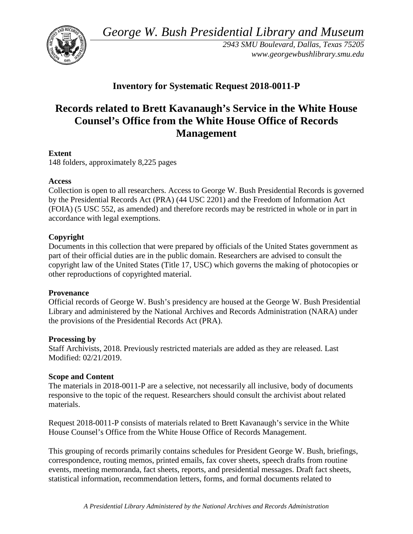*George W. Bush Presidential Library and Museum* 



*2943 SMU Boulevard, Dallas, Texas 75205 <www.georgewbushlibrary.smu.edu>*

# **Inventory for Systematic Request 2018-0011-P**

# **Counsel's Office from the White House Office of Records Records related to Brett Kavanaugh's Service in the White House Management**

## **Extent**

148 folders, approximately 8,225 pages

#### **Access**

 by the Presidential Records Act (PRA) (44 USC 2201) and the Freedom of Information Act Collection is open to all researchers. Access to George W. Bush Presidential Records is governed (FOIA) (5 USC 552, as amended) and therefore records may be restricted in whole or in part in accordance with legal exemptions.

## **Copyright**

 Documents in this collection that were prepared by officials of the United States government as part of their official duties are in the public domain. Researchers are advised to consult the copyright law of the United States (Title 17, USC) which governs the making of photocopies or other reproductions of copyrighted material.

#### **Provenance**

 Official records of George W. Bush's presidency are housed at the George W. Bush Presidential Library and administered by the National Archives and Records Administration (NARA) under the provisions of the Presidential Records Act (PRA).

## **Processing by**

Staff Archivists, 2018. Previously restricted materials are added as they are released. Last Modified: 02/21/2019.

## **Scope and Content**

 The materials in 2018-0011-P are a selective, not necessarily all inclusive, body of documents responsive to the topic of the request. Researchers should consult the archivist about related materials.

Request 2018-0011-P consists of materials related to Brett Kavanaugh's service in the White House Counsel's Office from the White House Office of Records Management.

 This grouping of records primarily contains schedules for President George W. Bush, briefings, correspondence, routing memos, printed emails, fax cover sheets, speech drafts from routine events, meeting memoranda, fact sheets, reports, and presidential messages. Draft fact sheets, statistical information, recommendation letters, forms, and formal documents related to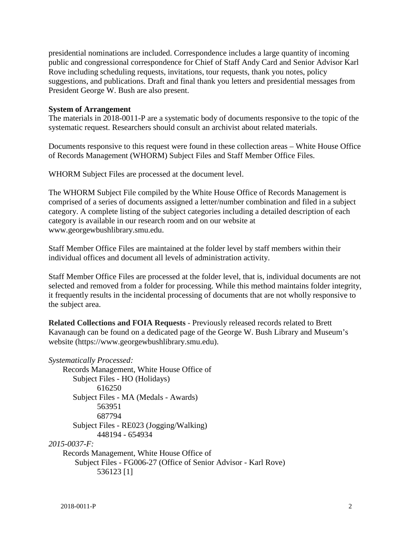presidential nominations are included. Correspondence includes a large quantity of incoming public and congressional correspondence for Chief of Staff Andy Card and Senior Advisor Karl Rove including scheduling requests, invitations, tour requests, thank you notes, policy suggestions, and publications. Draft and final thank you letters and presidential messages from President George W. Bush are also present.

#### **System of Arrangement**

The materials in 2018-0011-P are a systematic body of documents responsive to the topic of the systematic request. Researchers should consult an archivist about related materials.

 Documents responsive to this request were found in these collection areas – White House Office of Records Management (WHORM) Subject Files and Staff Member Office Files.

WHORM Subject Files are processed at the document level.

The WHORM Subject File compiled by the White House Office of Records Management is comprised of a series of documents assigned a letter/number combination and filed in a subject category. A complete listing of the subject categories including a detailed description of each category is available in our research room and on our website at <www.georgewbushlibrary.smu.edu>.

Staff Member Office Files are maintained at the folder level by staff members within their individual offices and document all levels of administration activity.

Staff Member Office Files are processed at the folder level, that is, individual documents are not selected and removed from a folder for processing. While this method maintains folder integrity, it frequently results in the incidental processing of documents that are not wholly responsive to the subject area.

 **Related Collections and FOIA Requests** - Previously released records related to Brett Kavanaugh can be found on a dedicated page of the George W. Bush Library and Museum's website (<https://www.georgewbushlibrary.smu.edu>).

```
Systematically Processed: 
    Records Management, White House Office of 
       Subject Files - HO (Holidays) 
              616250 
       Subject Files - MA (Medals - Awards) 
              563951 
              687794 
       Subject Files - RE023 (Jogging/Walking) 
              448194 - 654934 
2015-0037-F: 
    Records Management, White House Office of 
       Subject Files - FG006-27 (Office of Senior Advisor - Karl Rove) 
              536123 [1]
```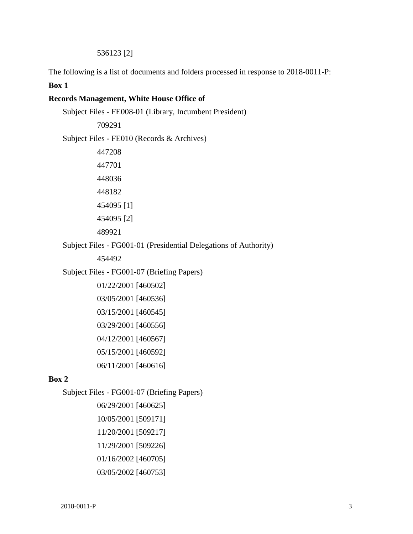536123 [2]

The following is a list of documents and folders processed in response to 2018-0011-P:

**Box 1** 

#### **Records Management, White House Office of**

Subject Files - FE008-01 (Library, Incumbent President) 709291 Subject Files - FE010 (Records & Archives) 447208 447701 448036 448182 454095 [1] 454095 [2] 489921 Subject Files - FG001-01 (Presidential Delegations of Authority) 454492

Subject Files - FG001-07 (Briefing Papers)

```
01/22/2001 [460502] 
03/05/2001 [460536] 
03/15/2001 [460545] 
03/29/2001 [460556] 
04/12/2001 [460567] 
05/15/2001 [460592] 
06/11/2001 [460616]
```
## **Box 2**

Subject Files - FG001-07 (Briefing Papers)

06/29/2001 [460625] 10/05/2001 [509171] 11/20/2001 [509217] 11/29/2001 [509226] 01/16/2002 [460705] 03/05/2002 [460753]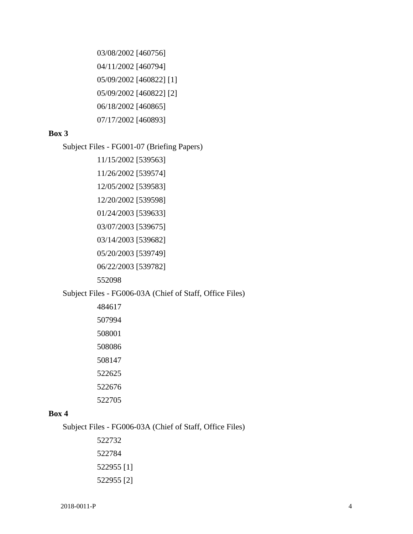03/08/2002 [460756] 04/11/2002 [460794] 05/09/2002 [460822] [1] 05/09/2002 [460822] [2] 06/18/2002 [460865] 07/17/2002 [460893]

#### **Box 3**

Subject Files - FG001-07 (Briefing Papers)

11/15/2002 [539563] 11/26/2002 [539574] 12/05/2002 [539583] 12/20/2002 [539598] 01/24/2003 [539633] 03/07/2003 [539675] 03/14/2003 [539682] 05/20/2003 [539749] 06/22/2003 [539782] 552098

Subject Files - FG006-03A (Chief of Staff, Office Files)

## **Box 4**

Subject Files - FG006-03A (Chief of Staff, Office Files)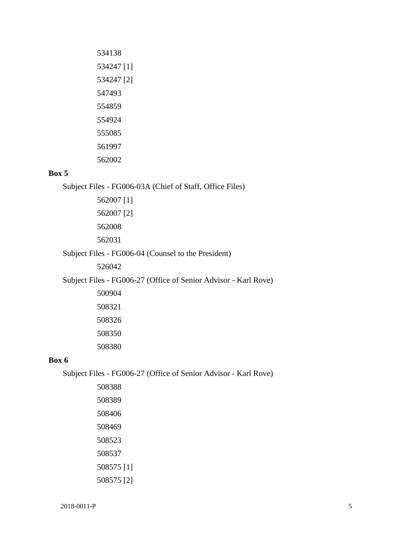| 534138     |
|------------|
| 534247 [1] |
| 534247 [2] |
| 547493     |
| 554859     |
| 554924     |
| 555085     |
| 561997     |
| 562002     |

#### **Box 5**

Subject Files - FG006-03A (Chief of Staff, Office Files)

- 562007 [1]
- 562007 [2]
- 562008
- 562031

# Subject Files - FG006-04 (Counsel to the President)

526042

# Subject Files - FG006-27 (Office of Senior Advisor - Karl Rove)

# **Box 6**

Subject Files - FG006-27 (Office of Senior Advisor - Karl Rove)

| 508388     |
|------------|
| 508389     |
| 508406     |
| 508469     |
| 508523     |
| 508537     |
| 508575 [1] |
| 508575 [2] |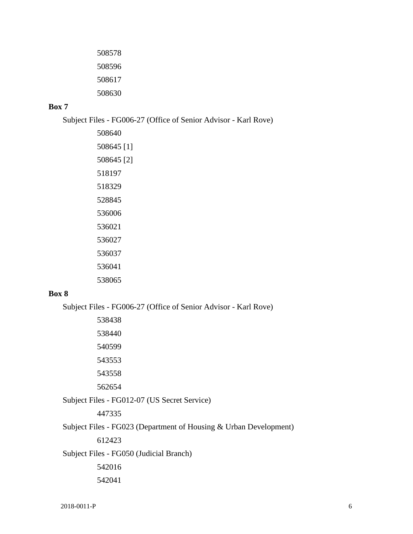| 508578 |  |
|--------|--|
| 508596 |  |
| 508617 |  |
| 508630 |  |

# **Box 7**

Subject Files - FG006-27 (Office of Senior Advisor - Karl Rove)

# **Box 8**

Subject Files - FG006-27 (Office of Senior Advisor - Karl Rove)

Subject Files - FG012-07 (US Secret Service)

Subject Files - FG023 (Department of Housing & Urban Development)

Subject Files - FG050 (Judicial Branch)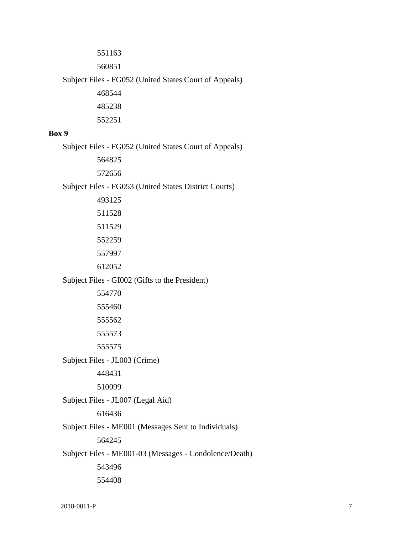Subject Files - FG052 (United States Court of Appeals) 

#### **Box 9**

Subject Files - FG052 (United States Court of Appeals)

Subject Files - FG053 (United States District Courts)

## Subject Files - GI002 (Gifts to the President)

 Subject Files - JL003 (Crime) Subject Files - JL007 (Legal Aid) Subject Files - ME001 (Messages Sent to Individuals) Subject Files - ME001-03 (Messages - Condolence/Death)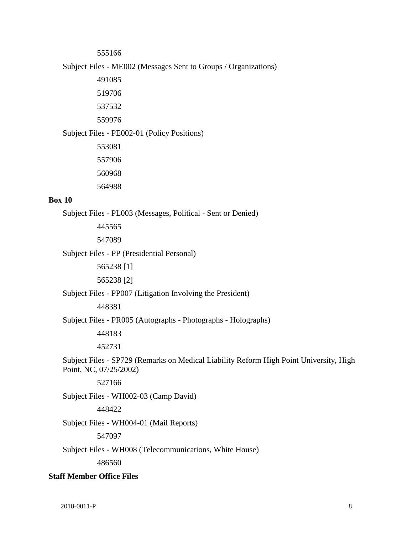555166

Subject Files - ME002 (Messages Sent to Groups / Organizations)

491085

519706

537532

559976

Subject Files - PE002-01 (Policy Positions)

#### **Box 10**

Subject Files - PL003 (Messages, Political - Sent or Denied)

445565

547089

Subject Files - PP (Presidential Personal)

565238 [1]

565238 [2]

Subject Files - PP007 (Litigation Involving the President)

448381

Subject Files - PR005 (Autographs - Photographs - Holographs)

448183

452731

Subject Files - SP729 (Remarks on Medical Liability Reform High Point University, High Point, NC, 07/25/2002)

527166

Subject Files - WH002-03 (Camp David)

448422

Subject Files - WH004-01 (Mail Reports)

547097

Subject Files - WH008 (Telecommunications, White House)

486560

#### **Staff Member Office Files**